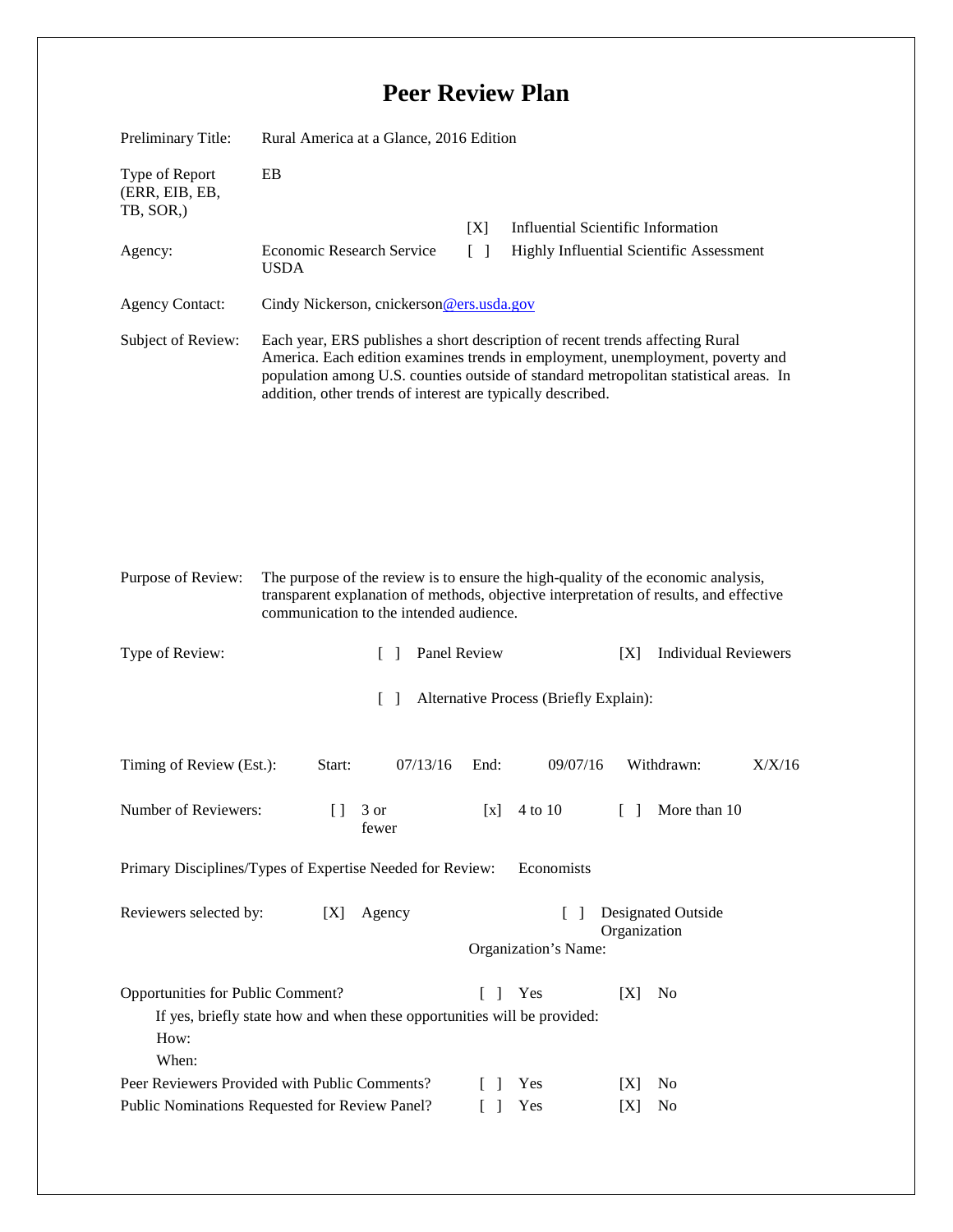## **Peer Review Plan**

| Preliminary Title:                                                                                                                                                                                                                           | Rural America at a Glance, 2016 Edition                                                                                                                                                                                                                                                                                 |                        |                                                                                       |                        |        |
|----------------------------------------------------------------------------------------------------------------------------------------------------------------------------------------------------------------------------------------------|-------------------------------------------------------------------------------------------------------------------------------------------------------------------------------------------------------------------------------------------------------------------------------------------------------------------------|------------------------|---------------------------------------------------------------------------------------|------------------------|--------|
| Type of Report<br>(ERR, EIB, EB,<br>TB, SOR,)                                                                                                                                                                                                | EB                                                                                                                                                                                                                                                                                                                      |                        |                                                                                       |                        |        |
| Agency:                                                                                                                                                                                                                                      | Economic Research Service<br><b>USDA</b>                                                                                                                                                                                                                                                                                | [X]<br>$\lceil \rceil$ | <b>Influential Scientific Information</b><br>Highly Influential Scientific Assessment |                        |        |
| <b>Agency Contact:</b>                                                                                                                                                                                                                       | Cindy Nickerson, cnickerson@ers.usda.gov                                                                                                                                                                                                                                                                                |                        |                                                                                       |                        |        |
| Subject of Review:                                                                                                                                                                                                                           | Each year, ERS publishes a short description of recent trends affecting Rural<br>America. Each edition examines trends in employment, unemployment, poverty and<br>population among U.S. counties outside of standard metropolitan statistical areas. In<br>addition, other trends of interest are typically described. |                        |                                                                                       |                        |        |
| Purpose of Review:<br>The purpose of the review is to ensure the high-quality of the economic analysis,<br>transparent explanation of methods, objective interpretation of results, and effective<br>communication to the intended audience. |                                                                                                                                                                                                                                                                                                                         |                        |                                                                                       |                        |        |
| Type of Review:                                                                                                                                                                                                                              | Panel Review<br><b>Individual Reviewers</b><br>[X]<br>$\Box$                                                                                                                                                                                                                                                            |                        |                                                                                       |                        |        |
| $\lceil \rceil$<br>Alternative Process (Briefly Explain):                                                                                                                                                                                    |                                                                                                                                                                                                                                                                                                                         |                        |                                                                                       |                        |        |
| Timing of Review (Est.):                                                                                                                                                                                                                     | 07/13/16<br>Start:                                                                                                                                                                                                                                                                                                      | End:                   | 09/07/16                                                                              | Withdrawn:             | X/X/16 |
| Number of Reviewers:                                                                                                                                                                                                                         | $\begin{bmatrix} 1 & 3 \end{bmatrix}$<br>fewer                                                                                                                                                                                                                                                                          |                        | $[x]$ 4 to 10                                                                         | [ ] More than 10       |        |
| Primary Disciplines/Types of Expertise Needed for Review:<br>Economists                                                                                                                                                                      |                                                                                                                                                                                                                                                                                                                         |                        |                                                                                       |                        |        |
| Reviewers selected by:<br><b>Designated Outside</b><br>[X]<br>Agency<br>$\Box$<br>Organization<br>Organization's Name:                                                                                                                       |                                                                                                                                                                                                                                                                                                                         |                        |                                                                                       |                        |        |
| Opportunities for Public Comment?<br>Yes<br>N <sub>0</sub><br>$\Box$<br>[X]<br>If yes, briefly state how and when these opportunities will be provided:<br>How:<br>When:                                                                     |                                                                                                                                                                                                                                                                                                                         |                        |                                                                                       |                        |        |
| Peer Reviewers Provided with Public Comments?<br>Public Nominations Requested for Review Panel?                                                                                                                                              |                                                                                                                                                                                                                                                                                                                         |                        | Yes<br>Yes                                                                            | No<br>[X]<br>No<br>[X] |        |
| $\mathbf{I}$                                                                                                                                                                                                                                 |                                                                                                                                                                                                                                                                                                                         |                        |                                                                                       |                        |        |